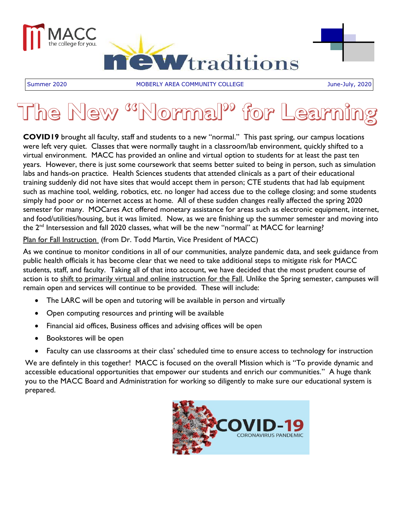

Summer 2020 **MOBERLY AREA COMMUNITY COLLEGE GEE All the State State COMMUNITY COLLEGE** 

# The New <sup>cc</sup>Normal<sup>pp</sup> for Learn

**COVID19** brought all faculty, staff and students to a new "normal." This past spring, our campus locations were left very quiet. Classes that were normally taught in a classroom/lab environment, quickly shifted to a virtual environment. MACC has provided an online and virtual option to students for at least the past ten years. However, there is just some coursework that seems better suited to being in person, such as simulation labs and hands-on practice. Health Sciences students that attended clinicals as a part of their educational training suddenly did not have sites that would accept them in person; CTE students that had lab equipment such as machine tool, welding, robotics, etc. no longer had access due to the college closing; and some students simply had poor or no internet access at home. All of these sudden changes really affected the spring 2020 semester for many. MOCares Act offered monetary assistance for areas such as electronic equipment, internet, and food/utilities/housing, but it was limited. Now, as we are finishing up the summer semester and moving into the 2<sup>nd</sup> Intersession and fall 2020 classes, what will be the new "normal" at MACC for learning?

#### Plan for Fall Instruction (from Dr. Todd Martin, Vice President of MACC)

As we continue to monitor conditions in all of our communities, analyze pandemic data, and seek guidance from public health officials it has become clear that we need to take additional steps to mitigate risk for MACC students, staff, and faculty. Taking all of that into account, we have decided that the most prudent course of action is to shift to primarily virtual and online instruction for the Fall. Unlike the Spring semester, campuses will remain open and services will continue to be provided. These will include:

- The LARC will be open and tutoring will be available in person and virtually
- Open computing resources and printing will be available
- Financial aid offices, Business offices and advising offices will be open
- Bookstores will be open
- Faculty can use classrooms at their class' scheduled time to ensure access to technology for instruction

We are defintely in this together! MACC is focused on the overall Mission which is "To provide dynamic and accessible educational opportunities that empower our students and enrich our communities." A huge thank you to the MACC Board and Administration for working so diligently to make sure our educational system is prepared.

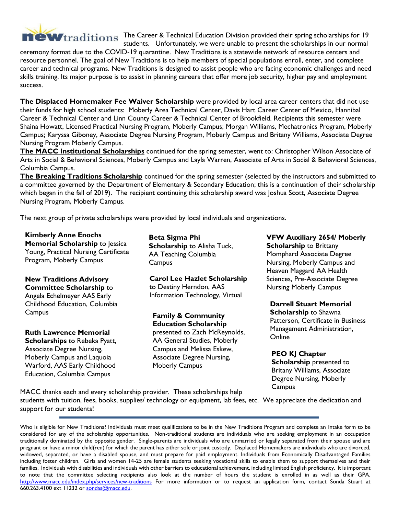

**The Wiraditions** The Career & Technical Education Division provided their spring scholarships for 19 students. Unfortunately, we were unable to present the scholarships in our normal

ceremony format due to the COVID-19 quarantine. New Traditions is a statewide network of resource centers and resource personnel. The goal of New Traditions is to help members of special populations enroll, enter, and complete career and technical programs. New Traditions is designed to assist people who are facing economic challenges and need skills training. Its major purpose is to assist in planning careers that offer more job security, higher pay and employment success.

**The Displaced Homemaker Fee Waiver Scholarship** were provided by local area career centers that did not use their funds for high school students: Moberly Area Technical Center, Davis Hart Career Center of Mexico, Hannibal Career & Technical Center and Linn County Career & Technical Center of Brookfield. Recipients this semester were Shaina Howatt, Licensed Practical Nursing Program, Moberly Campus; Morgan Williams, Mechatronics Program, Moberly Campus; Karyssa Giboney, Associate Degree Nursing Program, Moberly Campus and Britany Williams, Associate Degree Nursing Program Moberly Campus.

**The MACC Institutional Scholarships** continued for the spring semester, went to: Christopher Wilson Associate of Arts in Social & Behavioral Sciences, Moberly Campus and Layla Warren, Associate of Arts in Social & Behavioral Sciences, Columbia Campus.

**The Breaking Traditions Scholarship** continued for the spring semester (selected by the instructors and submitted to a committee governed by the Department of Elementary & Secondary Education; this is a continuation of their scholarship which began in the fall of 2019). The recipient continuing this scholarship award was Joshua Scott, Associate Degree Nursing Program, Moberly Campus.

The next group of private scholarships were provided by local individuals and organizations.

**Kimberly Anne Enochs Memorial Scholarship** to Jessica Young, Practical Nursing Certificate Program, Moberly Campus

**New Traditions Advisory Committee Scholarship** to Angela Echelmeyer AAS Early Childhood Education, Columbia **Campus** 

**Ruth Lawrence Memorial Scholarships** to Rebeka Pyatt, Associate Degree Nursing, Moberly Campus and Laquoia Warford, AAS Early Childhood Education, Columbia Campus

**Beta Sigma Phi Scholarship** to Alisha Tuck, AA Teaching Columbia **Campus** 

**Carol Lee Hazlet Scholarship** to Destiny Herndon, AAS Information Technology, Virtual

**Family & Community Education Scholarship** presented to Zach McReynolds, AA General Studies, Moberly Campus and Melissa Eskew, Associate Degree Nursing, Moberly Campus

**VFW Auxiliary 2654/ Moberly Scholarship** to Brittany Momphard Associate Degree Nursing, Moberly Campus and Heaven Maggard AA Health Sciences, Pre-Associate Degree Nursing Moberly Campus

**Darrell Stuart Memorial Scholarship** to Shawna Patterson, Certificate in Business Management Administration, **Online** 

**PEO KJ Chapter Scholarship** presented to Britany Williams, Associate Degree Nursing, Moberly **Campus** 

MACC thanks each and every scholarship provider. These scholarships help students with tuition, fees, books, supplies/ technology or equipment, lab fees, etc. We appreciate the dedication and support for our students!

Who is eligible for New Traditions? Individuals must meet qualifications to be in the New Traditions Program and complete an Intake form to be considered for any of the scholarship opportunities. Non-traditional students are individuals who are seeking employment in an occupation traditionally dominated by the opposite gender. Single-parents are individuals who are unmarried or legally separated from their spouse and are pregnant or have a minor child(ren) for which the parent has either sole or joint custody. Displaced Homemakers are individuals who are divorced, widowed, separated, or have a disabled spouse, and must prepare for paid employment. Individuals from Economically Disadvantaged Families including foster children. Girls and women 14-25 are female students seeking vocational skills to enable them to support themselves and their families. Individuals with disabilities and individuals with other barriers to educational achievement, including limited English proficiency. It is important to note that the committee selecting recipients also look at the number of hours the student is enrolled in as well as their GPA. http://www.macc.edu/index.php/services/new-traditions For more information or to request an application form, contact Sonda Stuart at 660.263.4100 ext 11232 or sondas@macc.edu.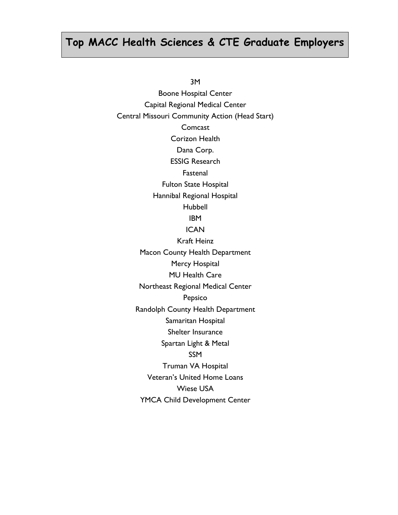## **Top MACC Health Sciences & CTE Graduate Employers**

3M

Boone Hospital Center Capital Regional Medical Center Central Missouri Community Action (Head Start) **Comcast** Corizon Health Dana Corp. ESSIG Research Fastenal Fulton State Hospital Hannibal Regional Hospital Hubbell IBM **ICAN** Kraft Heinz Macon County Health Department Mercy Hospital MU Health Care Northeast Regional Medical Center Pepsico Randolph County Health Department Samaritan Hospital Shelter Insurance Spartan Light & Metal SSM Truman VA Hospital Veteran's United Home Loans Wiese USA YMCA Child Development Center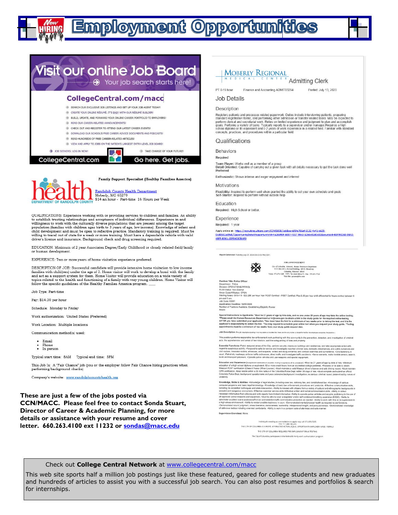# **Employment Opportunities**



- 
- A READ OUR CAREER-RELATED ANNOUNCEMENTS!
- A CHECK OUT AND REGISTER TO ATTEND OUR LATEST CAREER EVENTS!
- A DOWNLOAD OUR SCHOOL'S FREE CAREER ADVICE DOCUMENTS AND PODCASTS!
- READ HUNDREDS OF FREE CAREER-RELATED ARTICLES!
- A VIEW AND APPLY TO JOBS ON THE NATION'S LARGEST ENTRY-LEVEL JOB BOARD!

T

A TAKE CHARGE OF YOUR FUTURE **TALK** 

3 JOB SEEKERS: LOG IN NOW! CollegeCentral.com

Go here. Get jobs.



Family Support Specialist (Healthy Families America)

Randolph County Health Department<br>Moberly, MO 65270 \$14 an hour - Part-time 16 Hours per Week

QUALIFICATIONS: Experience working with or providing services to children and families. An ability Unturn Chillowing text and the depth of the state of containing services to establish trusting relationships and acceptance of individual differences. Experience in and willingness to work with the culturally diverse popul

EDUCATION: Minimum of 2 year Associates Degree/Early Childhood or closely related field/family or human development

EXPERIENCE: Two or more years of home visitation experience preferred.

DESCRIPTION OF JOB: Successful candidate will provide intensive home visitation to low income families with child(ren) under the age of 3. Home visitor will work to develop a bond with the family and act as a support system for them. Home Visitor will provide education on a wide variety of 

Job Type: Part-time

Pay: \$14.00 per hour

Schedule: Monday to Friday

Work authorization: United States (Preferred)

Work Location: Multiple locations

Communication method(s) used:

- Email
- Phone • In person

Typical start time: 8AM Typical end time: 5PM

This Job Is: A "Fair Chance" job (you or the employer follow Fair Chance hiring practices when performing background checks)

Company's website: www.randolphcountyhealth.org

These are just a few of the jobs posted via **CCN/MACC.** Please feel free to contact Sonda Stuart, Director of Career & Academic Planning, for more details or assistance with your resume and cover letter. 660.263.4100 ext 11232 or sondas@macc.edu

#### **MOBERLY REGIONAL**

 $\frac{N}{M(E)D(E)N(E)}$ 

PT 0-19 hour Finance and Accounting ADMIT03294 Posted: July 13, 2020

#### Job Details

Description

Registers patients and processes related paperwork. Duties include interviewing patients, preparing<br>standard registration forms, and performing other admission or transfer related tasks. May be expected to<br>perform clerical

#### Qualifications

**Behaviors** 

Required

Team Player: Works well as a member of a group<br>Detail Oriented: Capable of carrying out a given task with all details necessary to get the task done well Preferred

Enthusiastic: Shows intense and eager enjoyment and interest

Motivations

Flexibility: Inspired to perform well when granted the ability to set your own schedule and goals<br>Self-Starter: Inspired to perform without outside help

Education

Required: High School or better.

Experience

Required: 1 year Apply online at: https://recruiting.ultipro.com/COM1038/JobBoard/8fe786af-8132-4a41-b609-

0cd8581ad9a5/OpportunityDetail?opportunityId=4a265f69-b887-4317-99c3-62b6c02d0c81&sourceId=B8493268-0BA0-

4BFF-B361-1DF84080BAF0

Report Generated: Tuesday July 07, 2020 04:43:13 PM (CDT)



**JOB ANNOUNCEMENT** City of Columbia, Missouri, Human Resources Department<br>P.O. Box 6015, Howard Budding, 600 E. Broadway<br>Columbia, Missouri 65205<br>Voice: 573.874.7235<br>Triv: 11, (MO RELANT) Past: 573.874.7736<br>Voice: 573.874.7235<br>Triv: 11, (MO

sition Title: Police Office Position Titler, Profile<br>Chestern Christian Christian Christian Christian Christian Christian Christian Christian Christian Christian Christian Christian Christian Christian Christian Christian Christian Christian Christia

Job Description (This job description/posting in no way states or implies that these are the coly duties to be performed by the one

**Hours:** 

Special Instructions to Applicants: "Must be 21 years of age by hire date, and no one under 20 years of age may take the online testing<br>"Please email the furman Resources Department at regisonno,gov to obtain a link to the **Special Inst** 

This position performs responsible law enforcement work partnering with the community in th<br>acts; the apprehension and arrest of law violators; and the safeguarding of lives and property inity in the prevention, detection, and investigation of crimine

Essential Functions:-Patrol assigned areas of the City, perform security chacks on buildings and residences, and take appropriate action with<br>regard to suspiction activity. «Resport to calls for service and investigate rep

Education and Experience (was law metasta at studies, target suppose at to conserve). "Must be 21 years of age by date of hire. -Minimum<br>education of a high school diplomatic and the former oxell hours form an accredited c

Knowledge, Skills & Abilities - Victorioidge of legal studies, including case law, stabotory law, and constitutional law. Victorioidge of various inclusion skills, including the secondary and probabilities including the se

Supervision Exercised: None

Individuals needing accommodation to apply may call 573.874.7235<br>THE CITY OF COLUMBIA IS A MERIT, AFFIRMATIVE ACTION, EQUAL OPPORTUNITY EMPLOYER: MALE / FEMALE THE CITY OF COLUMBIA REQUIRES PRE-EMPLOYMENT DRUG TESTING The City of Columbia participates in the federal E-Verify work a

Check out College Central Network at www.collegecentral.com/macc

This web site sports half a million job postings just like these featured, geared for college students and new graduates and hundreds of articles to assist you with a successful job search. You can also post resumes and portfolios & search for internships.